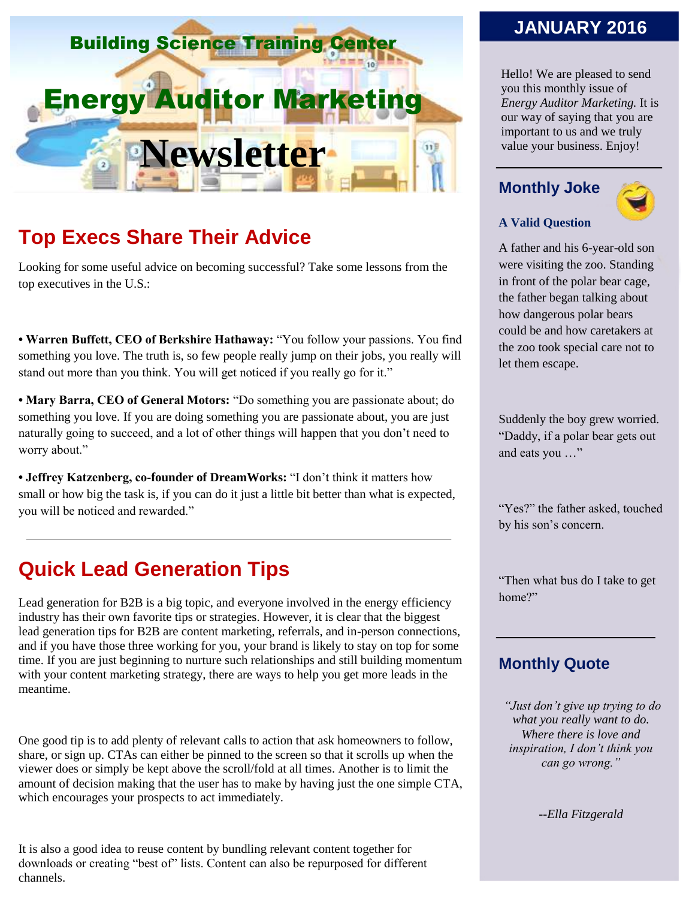

# **Top Execs Share Their Advice**

Looking for some useful advice on becoming successful? Take some lessons from the top executives in the U.S.:

**• Warren Buffett, CEO of Berkshire Hathaway:** "You follow your passions. You find something you love. The truth is, so few people really jump on their jobs, you really will stand out more than you think. You will get noticed if you really go for it."

**• Mary Barra, CEO of General Motors:** "Do something you are passionate about; do something you love. If you are doing something you are passionate about, you are just naturally going to succeed, and a lot of other things will happen that you don't need to worry about."

**• Jeffrey Katzenberg, co-founder of DreamWorks:** "I don't think it matters how small or how big the task is, if you can do it just a little bit better than what is expected, you will be noticed and rewarded."

## **Quick Lead Generation Tips**

Lead generation for B2B is a big topic, and everyone involved in the energy efficiency industry has their own favorite tips or strategies. However, it is clear that the biggest lead generation tips for B2B are content marketing, referrals, and in-person connections, and if you have those three working for you, your brand is likely to stay on top for some time. If you are just beginning to nurture such relationships and still building momentum with your content marketing strategy, there are ways to help you get more leads in the meantime.

One good tip is to add plenty of relevant calls to action that ask homeowners to follow, share, or sign up. CTAs can either be pinned to the screen so that it scrolls up when the viewer does or simply be kept above the scroll/fold at all times. Another is to limit the amount of decision making that the user has to make by having just the one simple CTA, which encourages your prospects to act immediately.

It is also a good idea to reuse content by bundling relevant content together for downloads or creating "best of" lists. Content can also be repurposed for different channels.

### **JANUARY 2016**

Hello! We are pleased to send you this monthly issue of *Energy Auditor Marketing.* It is our way of saying that you are important to us and we truly value your business. Enjoy!

#### **Monthly Joke**



#### **A Valid Question**

A father and his 6-year-old son were visiting the zoo. Standing in front of the polar bear cage, the father began talking about how dangerous polar bears could be and how caretakers at the zoo took special care not to let them escape.

Suddenly the boy grew worried. "Daddy, if a polar bear gets out and eats you …"

"Yes?" the father asked, touched by his son's concern.

"Then what bus do I take to get home?"

#### **Monthly Quote**

*"Just don't give up trying to do what you really want to do. Where there is love and inspiration, I don't think you can go wrong."*

*--Ella Fitzgerald*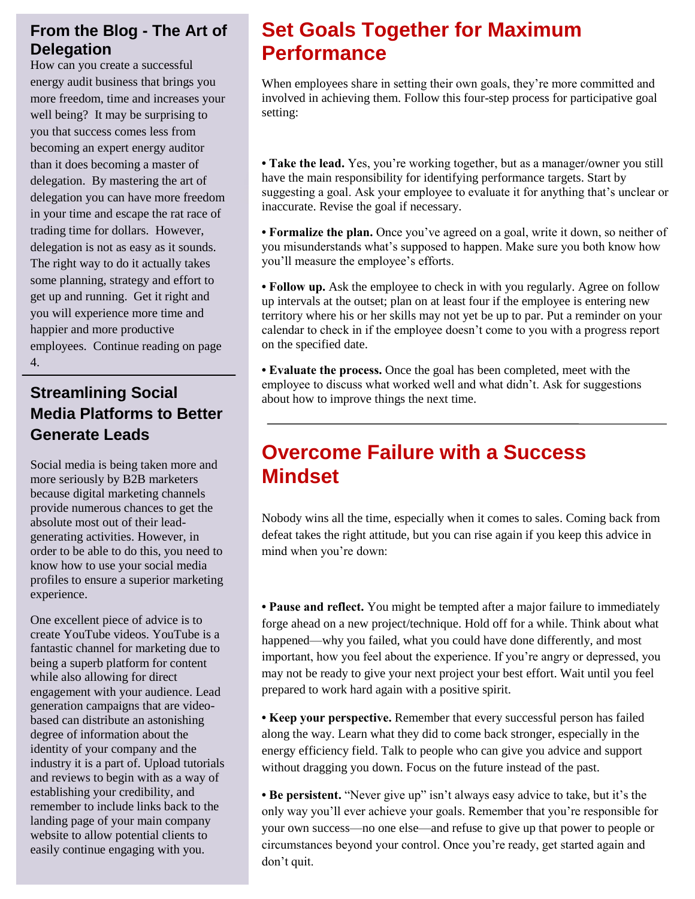#### **From the Blog - The Art of Delegation**

How can you create a successful energy audit business that brings you more freedom, time and increases your well being? It may be surprising to you that success comes less from becoming an expert energy auditor than it does becoming a master of delegation. By mastering the art of delegation you can have more freedom in your time and escape the rat race of trading time for dollars. However, delegation is not as easy as it sounds. The right way to do it actually takes some planning, strategy and effort to get up and running. Get it right and you will experience more time and happier and more productive employees. Continue reading on page 4.

### **Streamlining Social Media Platforms to Better Generate Leads**

Social media is being taken more and more seriously by B2B marketers because digital marketing channels provide numerous chances to get the absolute most out of their leadgenerating activities. However, in order to be able to do this, you need to know how to use your social media profiles to ensure a superior marketing experience.

One excellent piece of advice is to create YouTube videos. YouTube is a fantastic channel for marketing due to being a superb platform for content while also allowing for direct engagement with your audience. Lead generation campaigns that are videobased can distribute an astonishing degree of information about the identity of your company and the industry it is a part of. Upload tutorials and reviews to begin with as a way of establishing your credibility, and remember to include links back to the landing page of your main company website to allow potential clients to easily continue engaging with you.

# **Set Goals Together for Maximum Performance**

When employees share in setting their own goals, they're more committed and involved in achieving them. Follow this four-step process for participative goal setting:

**• Take the lead.** Yes, you're working together, but as a manager/owner you still have the main responsibility for identifying performance targets. Start by suggesting a goal. Ask your employee to evaluate it for anything that's unclear or inaccurate. Revise the goal if necessary.

**• Formalize the plan.** Once you've agreed on a goal, write it down, so neither of you misunderstands what's supposed to happen. Make sure you both know how you'll measure the employee's efforts.

• Follow up. Ask the employee to check in with you regularly. Agree on follow up intervals at the outset; plan on at least four if the employee is entering new territory where his or her skills may not yet be up to par. Put a reminder on your calendar to check in if the employee doesn't come to you with a progress report on the specified date.

**• Evaluate the process.** Once the goal has been completed, meet with the employee to discuss what worked well and what didn't. Ask for suggestions about how to improve things the next time.

## **Overcome Failure with a Success Mindset**

Nobody wins all the time, especially when it comes to sales. Coming back from defeat takes the right attitude, but you can rise again if you keep this advice in mind when you're down:

**• Pause and reflect.** You might be tempted after a major failure to immediately forge ahead on a new project/technique. Hold off for a while. Think about what happened—why you failed, what you could have done differently, and most important, how you feel about the experience. If you're angry or depressed, you may not be ready to give your next project your best effort. Wait until you feel prepared to work hard again with a positive spirit.

**• Keep your perspective.** Remember that every successful person has failed along the way. Learn what they did to come back stronger, especially in the energy efficiency field. Talk to people who can give you advice and support without dragging you down. Focus on the future instead of the past.

**• Be persistent.** "Never give up" isn't always easy advice to take, but it's the only way you'll ever achieve your goals. Remember that you're responsible for your own success—no one else—and refuse to give up that power to people or circumstances beyond your control. Once you're ready, get started again and don't quit.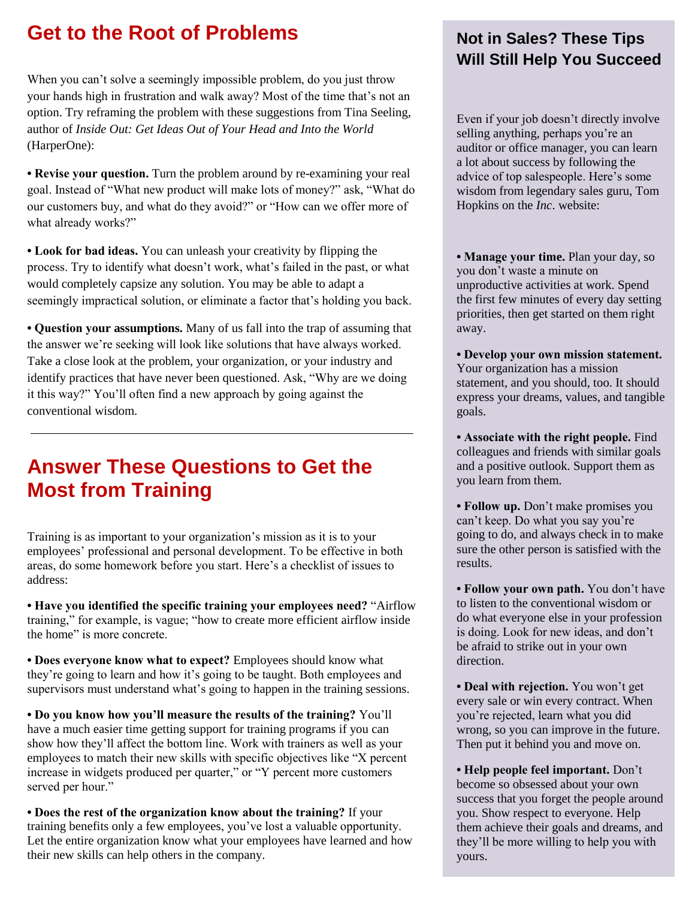## **Get to the Root of Problems**

When you can't solve a seemingly impossible problem, do you just throw your hands high in frustration and walk away? Most of the time that's not an option. Try reframing the problem with these suggestions from Tina Seeling, author of *Inside Out: Get Ideas Out of Your Head and Into the World*  (HarperOne):

**• Revise your question.** Turn the problem around by re-examining your real goal. Instead of "What new product will make lots of money?" ask, "What do our customers buy, and what do they avoid?" or "How can we offer more of what already works?"

**• Look for bad ideas.** You can unleash your creativity by flipping the process. Try to identify what doesn't work, what's failed in the past, or what would completely capsize any solution. You may be able to adapt a seemingly impractical solution, or eliminate a factor that's holding you back.

**• Question your assumptions.** Many of us fall into the trap of assuming that the answer we're seeking will look like solutions that have always worked. Take a close look at the problem, your organization, or your industry and identify practices that have never been questioned. Ask, "Why are we doing it this way?" You'll often find a new approach by going against the conventional wisdom.

# **Answer These Questions to Get the Most from Training**

Training is as important to your organization's mission as it is to your employees' professional and personal development. To be effective in both areas, do some homework before you start. Here's a checklist of issues to address:

**• Have you identified the specific training your employees need?** "Airflow training," for example, is vague; "how to create more efficient airflow inside the home" is more concrete.

**• Does everyone know what to expect?** Employees should know what they're going to learn and how it's going to be taught. Both employees and supervisors must understand what's going to happen in the training sessions.

**• Do you know how you'll measure the results of the training?** You'll have a much easier time getting support for training programs if you can show how they'll affect the bottom line. Work with trainers as well as your employees to match their new skills with specific objectives like "X percent increase in widgets produced per quarter," or "Y percent more customers served per hour."

**• Does the rest of the organization know about the training?** If your training benefits only a few employees, you've lost a valuable opportunity. Let the entire organization know what your employees have learned and how their new skills can help others in the company.

### **Not in Sales? These Tips Will Still Help You Succeed**

Even if your job doesn't directly involve selling anything, perhaps you're an auditor or office manager, you can learn a lot about success by following the advice of top salespeople. Here's some wisdom from legendary sales guru, Tom Hopkins on the *Inc*. website:

**• Manage your time.** Plan your day, so you don't waste a minute on unproductive activities at work. Spend the first few minutes of every day setting priorities, then get started on them right away.

**• Develop your own mission statement.** Your organization has a mission statement, and you should, too. It should express your dreams, values, and tangible goals.

**• Associate with the right people.** Find colleagues and friends with similar goals and a positive outlook. Support them as you learn from them.

**• Follow up.** Don't make promises you can't keep. Do what you say you're going to do, and always check in to make sure the other person is satisfied with the results.

**• Follow your own path.** You don't have to listen to the conventional wisdom or do what everyone else in your profession is doing. Look for new ideas, and don't be afraid to strike out in your own direction.

**• Deal with rejection.** You won't get every sale or win every contract. When you're rejected, learn what you did wrong, so you can improve in the future. Then put it behind you and move on.

**• Help people feel important.** Don't become so obsessed about your own success that you forget the people around you. Show respect to everyone. Help them achieve their goals and dreams, and they'll be more willing to help you with yours.